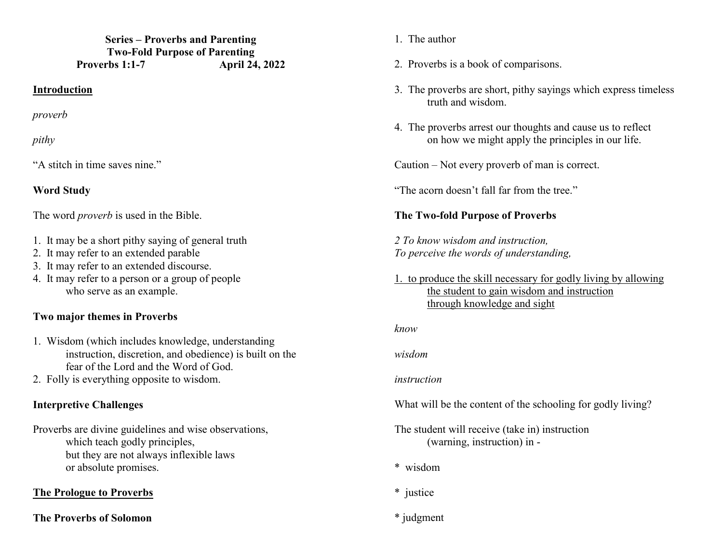**Series – Proverbs and Parenting Two-Fold Purpose of Parenting Proverbs 1:1-7 April 24, 2022** 

#### **Introduction**

*proverb* 

*pithy* 

"A stitch in time saves nine."

### **Word Study**

The word *proverb* is used in the Bible.

- 1. It may be a short pithy saying of general truth
- 2. It may refer to an extended parable
- 3. It may refer to an extended discourse.
- 4. It may refer to a person or a group of people who serve as an example.

## **Two major themes in Proverbs**

- 1. Wisdom (which includes knowledge, understanding instruction, discretion, and obedience) is built on the fear of the Lord and the Word of God.
- 2. Folly is everything opposite to wisdom.

## **Interpretive Challenges**

Proverbs are divine guidelines and wise observations, which teach godly principles, but they are not always inflexible laws or absolute promises.

## **The Prologue to Proverbs**

#### **The Proverbs of Solomon**

- 1. The author
- 2. Proverbs is a book of comparisons.
- 3. The proverbs are short, pithy sayings which express timeless truth and wisdom.
- 4. The proverbs arrest our thoughts and cause us to reflecton how we might apply the principles in our life.

Caution – Not every proverb of man is correct.

"The acorn doesn't fall far from the tree."

## **The Two-fold Purpose of Proverbs**

*2 To know wisdom and instruction, To perceive the words of understanding,* 

1. to produce the skill necessary for godly living by allowing the student to gain wisdom and instruction through knowledge and sight

*know* 

*wisdom* 

#### *instruction*

What will be the content of the schooling for godly living?

The student will receive (take in) instruction (warning, instruction) in -

- \* wisdom
- \* justice
- \* judgment